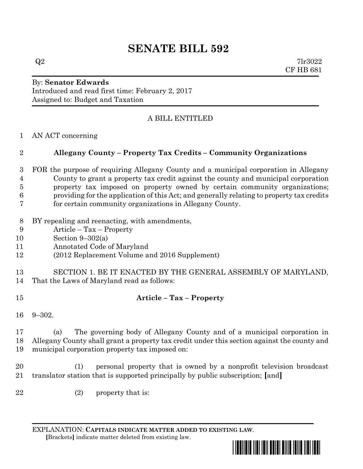## **SENATE BILL 592**

 $Q2$  7lr3022 CF HB 681

## By: **Senator Edwards** Introduced and read first time: February 2, 2017 Assigned to: Budget and Taxation

## A BILL ENTITLED

AN ACT concerning

## **Allegany County – Property Tax Credits – Community Organizations**

- FOR the purpose of requiring Allegany County and a municipal corporation in Allegany County to grant a property tax credit against the county and municipal corporation property tax imposed on property owned by certain community organizations; providing for the application of this Act; and generally relating to property tax credits for certain community organizations in Allegany County.
- BY repealing and reenacting, with amendments,
- Article Tax Property
- Section 9–302(a)
- Annotated Code of Maryland
- (2012 Replacement Volume and 2016 Supplement)
- SECTION 1. BE IT ENACTED BY THE GENERAL ASSEMBLY OF MARYLAND,
- That the Laws of Maryland read as follows:
- **Article – Tax – Property**
- 9–302.

 (a) The governing body of Allegany County and of a municipal corporation in Allegany County shall grant a property tax credit under this section against the county and municipal corporation property tax imposed on:

 (1) personal property that is owned by a nonprofit television broadcast translator station that is supported principally by public subscription; **[**and**]**

22 (2) property that is:

EXPLANATION: **CAPITALS INDICATE MATTER ADDED TO EXISTING LAW**.  **[**Brackets**]** indicate matter deleted from existing law.